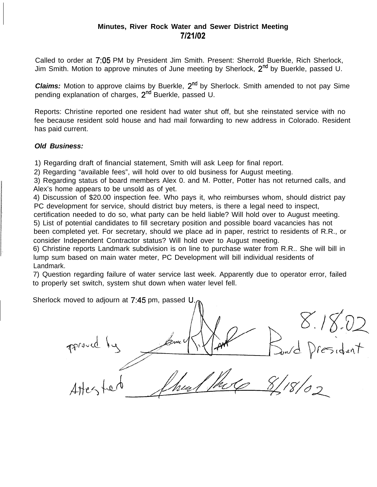# **Minutes, River Rock Water and Sewer District Meeting 7/21/02**

Called to order at 7:05 PM by President Jim Smith. Present: Sherrold Buerkle, Rich Sherlock, Jim Smith. Motion to approve minutes of June meeting by Sherlock, 2<sup>nd</sup> by Buerkle, passed U.

**Claims:** Motion to approve claims by Buerkle, 2<sup>nd</sup> by Sherlock. Smith amended to not pay Sime pending explanation of charges, 2<sup>nd</sup> Buerkle, passed U.

Reports: Christine reported one resident had water shut off, but she reinstated service with no fee because resident sold house and had mail forwarding to new address in Colorado. Resident has paid current.

# *Old Business:*

1) Regarding draft of financial statement, Smith will ask Leep for final report.

2) Regarding "available fees", will hold over to old business for August meeting.

3) Regarding status of board members Alex 0. and M. Potter, Potter has not returned calls, and Alex's home appears to be unsold as of yet.

4) Discussion of \$20.00 inspection fee. Who pays it, who reimburses whom, should district pay PC development for service, should district buy meters, is there a legal need to inspect,

certification needed to do so, what party can be held liable? Will hold over to August meeting. 5) List of potential candidates to fill secretary position and possible board vacancies has not

been completed yet. For secretary, should we place ad in paper, restrict to residents of R.R., or consider Independent Contractor status? Will hold over to August meeting.

6) Christine reports Landmark subdivision is on line to purchase water from R.R.. She will bill in lump sum based on main water meter, PC Development will bill individual residents of Landmark.

7) Question regarding failure of water service last week. Apparently due to operator error, failed to properly set switch, system shut down when water level fell.

Sherlock moved to adjourn at 7:45 pm, passed U.

proved by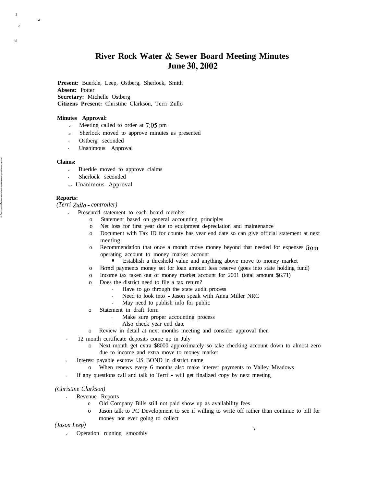# **River Rock Water & Sewer Board Meeting Minutes June 30,2002**

**Present:** Buerkle, Leep, Ostberg, Sherlock, Smith **Absent:** Potter **Secretary:** Michelle Ostberg **Citizens Present:** Christine Clarkson, Terri Zullo

#### **Minutes Approval:**

- $\epsilon$  Meeting called to order at 7:05 pm
- Sherlock moved to approve minutes as presented
- Ostberg seconded
	- . Unanimous Approval

### **Claims:**

.,

'Y

I)

.I

- $\epsilon$  Buerkle moved to approve claims
- Sherlock seconded
- ?? Unanimous Approval

### **Reports:**

*(Terri Zullo - controller)*

- ? Presented statement to each board member
	- o Statement based on general accounting principles
	- o Net loss for first year due to equipment depreciation and maintenance
	- o Document with Tax ID for county has year end date so can give official statement at next meeting
	- o Recommendation that once a month move money beyond that needed for expenses from operating account to money market account
		- Establish a threshold value and anything above move to money market
	- o Bond payments money set for loan amount less reserve (goes into state holding fund)
	- o Income tax taken out of money market account for 2001 (total amount \$6.71)
	- o Does the district need to file a tax return?
		- . Have to go through the state audit process
		- . Need to look into Jason speak with Anna Miller NRC
		- . May need to publish info for public
	- o Statement in draft form
		- . Make sure proper accounting process
		- . Also check year end date
	- o Review in detail at next months meeting and consider approval then
	- . 12 month certificate deposits come up in July
		- o Next month get extra \$8000 approximately so take checking account down to almost zero due to income and extra move to money market
- . Interest payable escrow US BOND in district name
	- o When renews every 6 months also make interest payments to Valley Meadows
- . If any questions call and talk to Terri will get finalized copy by next meeting

### *(Christine Clarkson)*

- *.* Revenue Reports
	- o Old Company Bills still not paid show up as availability fees
	- o Jason talk to PC Development to see if willing to write off rather than continue to bill for money not ever going to collect

*1*

*(Jason Leep)*

 $\epsilon$  Operation running smoothly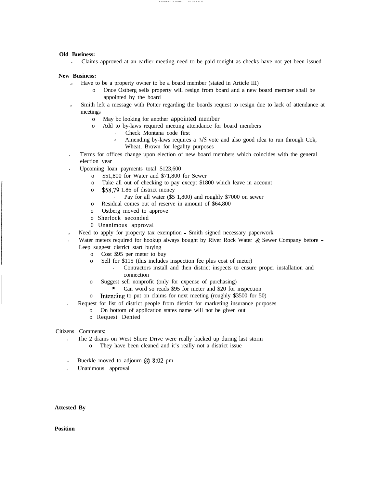### **Old Business:**

 $\epsilon$  Claims approved at an earlier meeting need to be paid tonight as checks have not yet been issued

### **New Business:**

- $\epsilon$  Have to be a property owner to be a board member (stated in Article III)
	- o Once Ostberg sells property will resign from board and a new board member shall be appointed by the board
- ? Smith left a message with Potter regarding the boards request to resign due to lack of attendance at meetings
	- o May bc looking for another appointed member
	- o Add to by-laws required meeting attendance for board members
		- . Check Montana code first
		- Amending by-laws requires a  $3/5$  vote and also good idea to run through Cok, Wheat, Brown for legality purposes
- . Terms for offices change upon election of new board members which coincides with the general election year
- . Upcoming loan payments total \$123,600
	- o \$51,800 for Water and \$71,800 for Sewer
	- o Take all out of checking to pay except \$1800 which leave in account
	- o \$58,79 1.86 of district money
		- . Pay for all water (\$5 1,800) and roughly \$7000 on sewer
	- o Residual comes out of reserve in amount of \$64,800
	- o Ostberg moved to approve
	- o Sherlock seconded
	- 0 Unanimous approval
- Need to apply for property tax exemption Smith signed necessary paperwork
- Water meters required for hookup always bought by River Rock Water  $\&$  Sewer Company before  $\cdot$ Leep suggest district start buying
	- o Cost \$95 per meter to buy
	- o Sell for \$115 (this includes inspection fee plus cost of meter)
		- . Contractors install and then district inspects to ensure proper installation and connection
	- o Suggest sell nonprofit (only for expense of purchasing)
		- Can word so reads \$95 for meter and \$20 for inspection  $\blacksquare$
	- o Intending to put on claims for next meeting (roughly \$3500 for 50)
	- . Request for list of district people from district for marketing insurance purposes
		- o On bottom of application states name will not be given out
		- o Request Denied

### Citizens Comments:

- . The 2 drains on West Shore Drive were really backed up during last storm
	- o They have been cleaned and it's really not a district issue
- Buerkle moved to adjourn  $\omega$  8:02 pm
- . Unanimous approval

**Attested By**

**Position**